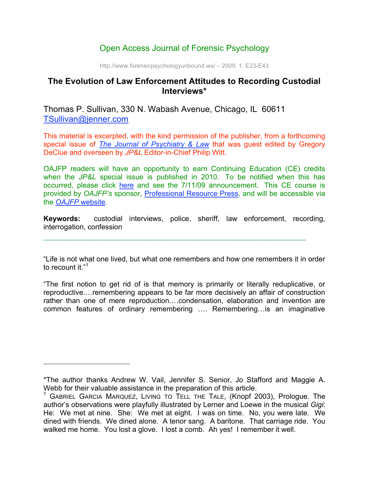# Open Access Journal of Forensic Psychology

http://www.forensicpsychologyunbound.ws/ – 2009. 1: E23-E43

# **The Evolution of Law Enforcement Attitudes to Recording Custodial Interviews\***

Thomas P. Sullivan, 330 N. Wabash Avenue, Chicago, IL 60611 TSullivan@jenner.com

This material is excerpted, with the kind permission of the publisher, from a forthcoming special issue of *The Journal of Psychiatry & Law* that was guest edited by Gregory DeClue and overseen by *JP&L* Editor-in-Chief Philip Witt.

OAJFP readers will have an opportunity to earn Continuing Education (CE) credits when the *JP&L* special issue is published in 2010. To be notified when this has occurred, please click here and see the 7/11/09 announcement. This CE course is provided by *OAJFP's* sponsor, Professional Resource Press, and will be accessible via the *OAJFP* website.

**Keywords:** custodial interviews, police, sheriff, law enforcement, recording, interrogation, confession

"Life is not what one lived, but what one remembers and how one remembers it in order to recount it."<sup>1</sup>

**¯¯¯¯¯¯¯¯¯¯¯¯¯¯¯¯¯¯¯¯¯¯¯¯¯¯¯¯¯¯¯¯¯¯¯¯¯¯¯¯¯¯¯¯¯¯¯¯¯¯¯¯¯¯¯¯¯¯¯¯¯¯¯¯¯¯¯¯¯¯¯¯¯¯¯¯¯¯¯**

"The first notion to get rid of is that memory is primarily or literally reduplicative, or reproductive.…remembering appears to be far more decisively an affair of construction rather than one of mere reproduction.…condensation, elaboration and invention are common features of ordinary remembering …. Remembering…is an imaginative

 $\overline{a}$ 

<sup>\*</sup>The author thanks Andrew W. Vail, Jennifer S. Senior, Jo Stafford and Maggie A. Webb for their valuable assistance in the preparation of this article.

<sup>&</sup>lt;sup>1</sup> GABRIEL GARCIA MARQUEZ, LIVING TO TELL THE TALE, (Knopf 2003), Prologue. The author's observations were playfully illustrated by Lerner and Loewe in the musical *Gigi*: He: We met at nine. She: We met at eight. I was on time. No, you were late. We dined with friends. We dined alone. A tenor sang. A baritone. That carriage ride. You walked me home. You lost a glove. I lost a comb. Ah yes! I remember it well.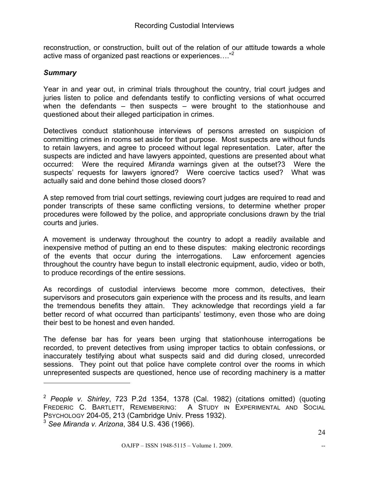reconstruction, or construction, built out of the relation of our attitude towards a whole active mass of organized past reactions or experiences...."<sup>2</sup>

### *Summary*

 $\overline{a}$ 

Year in and year out, in criminal trials throughout the country, trial court judges and juries listen to police and defendants testify to conflicting versions of what occurred when the defendants – then suspects – were brought to the stationhouse and questioned about their alleged participation in crimes.

Detectives conduct stationhouse interviews of persons arrested on suspicion of committing crimes in rooms set aside for that purpose. Most suspects are without funds to retain lawyers, and agree to proceed without legal representation. Later, after the suspects are indicted and have lawyers appointed, questions are presented about what occurred: Were the required *Miranda* warnings given at the outset?3 Were the suspects' requests for lawyers ignored? Were coercive tactics used? What was actually said and done behind those closed doors?

A step removed from trial court settings, reviewing court judges are required to read and ponder transcripts of these same conflicting versions, to determine whether proper procedures were followed by the police, and appropriate conclusions drawn by the trial courts and juries.

A movement is underway throughout the country to adopt a readily available and inexpensive method of putting an end to these disputes: making electronic recordings of the events that occur during the interrogations. Law enforcement agencies throughout the country have begun to install electronic equipment, audio, video or both, to produce recordings of the entire sessions.

As recordings of custodial interviews become more common, detectives, their supervisors and prosecutors gain experience with the process and its results, and learn the tremendous benefits they attain. They acknowledge that recordings yield a far better record of what occurred than participants' testimony, even those who are doing their best to be honest and even handed.

The defense bar has for years been urging that stationhouse interrogations be recorded, to prevent detectives from using improper tactics to obtain confessions, or inaccurately testifying about what suspects said and did during closed, unrecorded sessions. They point out that police have complete control over the rooms in which unrepresented suspects are questioned, hence use of recording machinery is a matter

<sup>2</sup> *People v. Shirley*, 723 P.2d 1354, 1378 (Cal. 1982) (citations omitted) (quoting FREDERIC C. BARTLETT, REMEMBERING: A STUDY IN EXPERIMENTAL AND SOCIAL PSYCHOLOGY 204-05, 213 (Cambridge Univ. Press 1932). <sup>3</sup> *See Miranda v. Arizona*, 384 U.S. 436 (1966).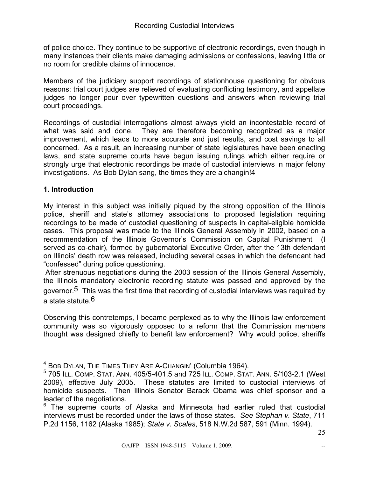of police choice. They continue to be supportive of electronic recordings, even though in many instances their clients make damaging admissions or confessions, leaving little or no room for credible claims of innocence.

Members of the judiciary support recordings of stationhouse questioning for obvious reasons: trial court judges are relieved of evaluating conflicting testimony, and appellate judges no longer pour over typewritten questions and answers when reviewing trial court proceedings.

Recordings of custodial interrogations almost always yield an incontestable record of what was said and done. They are therefore becoming recognized as a major improvement, which leads to more accurate and just results, and cost savings to all concerned. As a result, an increasing number of state legislatures have been enacting laws, and state supreme courts have begun issuing rulings which either require or strongly urge that electronic recordings be made of custodial interviews in major felony investigations. As Bob Dylan sang, the times they are a'changin!4

# **1. Introduction**

 $\overline{a}$ 

My interest in this subject was initially piqued by the strong opposition of the Illinois police, sheriff and state's attorney associations to proposed legislation requiring recordings to be made of custodial questioning of suspects in capital-eligible homicide cases. This proposal was made to the Illinois General Assembly in 2002, based on a recommendation of the Illinois Governor's Commission on Capital Punishment (I served as co-chair), formed by gubernatorial Executive Order, after the 13th defendant on Illinois' death row was released, including several cases in which the defendant had "confessed" during police questioning.

After strenuous negotiations during the 2003 session of the Illinois General Assembly, the Illinois mandatory electronic recording statute was passed and approved by the governor.5 This was the first time that recording of custodial interviews was required by a state statute.<sup>6</sup>

Observing this contretemps, I became perplexed as to why the Illinois law enforcement community was so vigorously opposed to a reform that the Commission members thought was designed chiefly to benefit law enforcement? Why would police, sheriffs

<sup>&</sup>lt;sup>4</sup> BOB DYLAN, THE TIMES THEY ARE A-CHANGIN' (Columbia 1964).

<sup>5</sup> 705 ILL. COMP. STAT. ANN. 405/5-401.5 and 725 ILL. COMP. STAT. ANN. 5/103-2.1 (West 2009), effective July 2005. These statutes are limited to custodial interviews of homicide suspects. Then Illinois Senator Barack Obama was chief sponsor and a leader of the negotiations.

<sup>&</sup>lt;sup>6</sup> The supreme courts of Alaska and Minnesota had earlier ruled that custodial interviews must be recorded under the laws of those states. *See Stephan v. State*, 711 P.2d 1156, 1162 (Alaska 1985); *State v. Scales*, 518 N.W.2d 587, 591 (Minn. 1994).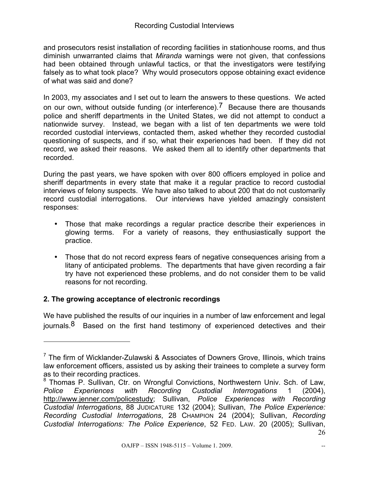and prosecutors resist installation of recording facilities in stationhouse rooms, and thus diminish unwarranted claims that *Miranda* warnings were not given, that confessions had been obtained through unlawful tactics, or that the investigators were testifying falsely as to what took place? Why would prosecutors oppose obtaining exact evidence of what was said and done?

In 2003, my associates and I set out to learn the answers to these questions. We acted on our own, without outside funding (or interference).7 Because there are thousands police and sheriff departments in the United States, we did not attempt to conduct a nationwide survey. Instead, we began with a list of ten departments we were told recorded custodial interviews, contacted them, asked whether they recorded custodial questioning of suspects, and if so, what their experiences had been. If they did not record, we asked their reasons. We asked them all to identify other departments that recorded.

During the past years, we have spoken with over 800 officers employed in police and sheriff departments in every state that make it a regular practice to record custodial interviews of felony suspects. We have also talked to about 200 that do not customarily record custodial interrogations. Our interviews have yielded amazingly consistent responses:

- Those that make recordings a regular practice describe their experiences in glowing terms. For a variety of reasons, they enthusiastically support the practice.
- Those that do not record express fears of negative consequences arising from a litany of anticipated problems. The departments that have given recording a fair try have not experienced these problems, and do not consider them to be valid reasons for not recording.

## **2. The growing acceptance of electronic recordings**

 $\overline{a}$ 

We have published the results of our inquiries in a number of law enforcement and legal journals. $8$  Based on the first hand testimony of experienced detectives and their

<sup>&</sup>lt;sup>7</sup> The firm of Wicklander-Zulawski & Associates of Downers Grove, Illinois, which trains law enforcement officers, assisted us by asking their trainees to complete a survey form as to their recording practices.

<sup>26</sup> <sup>8</sup> Thomas P. Sullivan, Ctr. on Wrongful Convictions, Northwestern Univ. Sch. of Law, *Police Experiences with Recording Custodial Interrogations* 1 (2004), http://www.jenner.com/policestudy; Sullivan, *Police Experiences with Recording Custodial Interrogations*, 88 JUDICATURE 132 (2004); Sullivan, *The Police Experience: Recording Custodial Interrogations*, 28 CHAMPION 24 (2004); Sullivan, *Recording Custodial Interrogations: The Police Experience*, 52 FED. LAW. 20 (2005); Sullivan,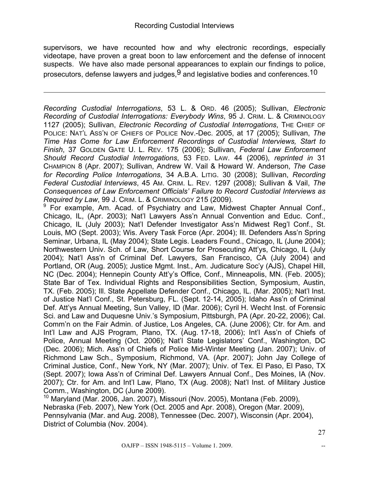supervisors, we have recounted how and why electronic recordings, especially videotape, have proven a great boon to law enforcement and the defense of innocent suspects. We have also made personal appearances to explain our findings to police, prosecutors, defense lawyers and judges,  $9$  and legislative bodies and conferences,  $10$ 

 $\overline{a}$ 

*Recording Custodial Interrogations*, 53 L. & ORD. 46 (2005); Sullivan, *Electronic Recording of Custodial Interrogations: Everybody Wins*, 95 J. CRIM. L. & CRIMINOLOGY 1127 (2005); Sullivan, *Electronic Recording of Custodial Interrogations*, THE CHIEF OF POLICE: NAT'L ASS'N OF CHIEFS OF POLICE Nov.-Dec. 2005, at 17 (2005); Sullivan, *The Time Has Come for Law Enforcement Recordings of Custodial Interviews, Start to Finish*, 37 GOLDEN GATE U. L. REV. 175 (2006); Sullivan, *Federal Law Enforcement Should Record Custodial Interrogations*, 53 FED. LAW. 44 (2006), *reprinted in* 31 CHAMPION 8 (Apr. 2007); Sullivan, Andrew W. Vail & Howard W. Anderson, *The Case for Recording Police Interrogations*, 34 A.B.A. LITIG. 30 (2008); Sullivan, *Recording Federal Custodial Interviews*, 45 AM. CRIM. L. REV. 1297 (2008); Sullivan & Vail, *The Consequences of Law Enforcement Officials' Failure to Record Custodial Interviews as Required by Law*, 99 J. CRIM. L. & CRIMINOLOGY 215 (2009).

<sup>9</sup> For example, Am. Acad. of Psychiatry and Law, Midwest Chapter Annual Conf., Chicago, IL, (Apr. 2003); Nat'l Lawyers Ass'n Annual Convention and Educ. Conf., Chicago, IL (July 2003); Nat'l Defender Investigator Ass'n Midwest Reg'l Conf., St. Louis, MO (Sept. 2003); Wis. Avery Task Force (Apr. 2004); Ill. Defenders Ass'n Spring Seminar, Urbana, IL (May 2004); State Legis. Leaders Found., Chicago, IL (June 2004); Northwestern Univ. Sch. of Law, Short Course for Prosecuting Att'ys, Chicago, IL (July 2004); Nat'l Ass'n of Criminal Def. Lawyers, San Francisco, CA (July 2004) and Portland, OR (Aug. 2005); Justice Mgmt. Inst., Am. Judicature Soc'y (AJS), Chapel Hill, NC (Dec. 2004); Hennepin County Att'y's Office, Conf., Minneapolis, MN. (Feb. 2005); State Bar of Tex. Individual Rights and Responsibilities Section, Symposium, Austin, TX. (Feb. 2005); Ill. State Appellate Defender Conf., Chicago, IL. (Mar. 2005); Nat'l Inst. of Justice Nat'l Conf., St. Petersburg, FL. (Sept. 12-14, 2005); Idaho Ass'n of Criminal Def. Att'ys Annual Meeting, Sun Valley, ID (Mar. 2006); Cyril H. Wecht Inst. of Forensic Sci. and Law and Duquesne Univ.'s Symposium, Pittsburgh, PA (Apr. 20-22, 2006); Cal. Comm'n on the Fair Admin. of Justice, Los Angeles, CA. (June 2006); Ctr. for Am. and Int'l Law and AJS Program, Plano, TX. (Aug. 17-18, 2006); Int'l Ass'n of Chiefs of Police, Annual Meeting (Oct. 2006); Nat'l State Legislators' Conf., Washington, DC (Dec. 2006); Mich. Ass'n of Chiefs of Police Mid-Winter Meeting (Jan. 2007); Univ. of Richmond Law Sch., Symposium, Richmond, VA. (Apr. 2007); John Jay College of Criminal Justice, Conf., New York, NY (Mar. 2007); Univ. of Tex. El Paso, El Paso, TX (Sept. 2007); Iowa Ass'n of Criminal Def. Lawyers Annual Conf., Des Moines, IA (Nov. 2007); Ctr. for Am. and Int'l Law, Plano, TX (Aug. 2008); Nat'l Inst. of Military Justice Comm., Washington, DC (June 2009).

 $10$  Maryland (Mar. 2006, Jan. 2007), Missouri (Nov. 2005), Montana (Feb. 2009), Nebraska (Feb. 2007), New York (Oct. 2005 and Apr. 2008), Oregon (Mar. 2009), Pennsylvania (Mar. and Aug. 2008), Tennessee (Dec. 2007), Wisconsin (Apr. 2004), District of Columbia (Nov. 2004).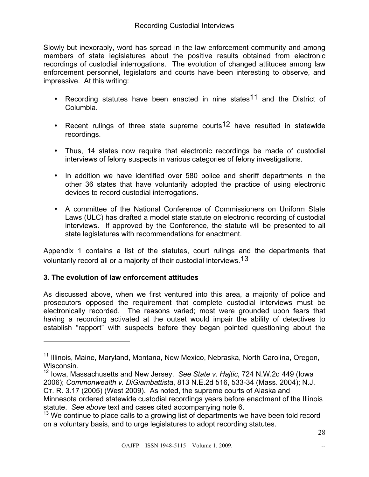Slowly but inexorably, word has spread in the law enforcement community and among members of state legislatures about the positive results obtained from electronic recordings of custodial interrogations. The evolution of changed attitudes among law enforcement personnel, legislators and courts have been interesting to observe, and impressive. At this writing:

- Recording statutes have been enacted in nine states<sup>11</sup> and the District of Columbia.
- Recent rulings of three state supreme courts<sup>12</sup> have resulted in statewide recordings.
- Thus, 14 states now require that electronic recordings be made of custodial interviews of felony suspects in various categories of felony investigations.
- In addition we have identified over 580 police and sheriff departments in the other 36 states that have voluntarily adopted the practice of using electronic devices to record custodial interrogations.
- A committee of the National Conference of Commissioners on Uniform State Laws (ULC) has drafted a model state statute on electronic recording of custodial interviews. If approved by the Conference, the statute will be presented to all state legislatures with recommendations for enactment.

Appendix 1 contains a list of the statutes, court rulings and the departments that voluntarily record all or a majority of their custodial interviews.13

## **3. The evolution of law enforcement attitudes**

 $\overline{a}$ 

As discussed above, when we first ventured into this area, a majority of police and prosecutors opposed the requirement that complete custodial interviews must be electronically recorded. The reasons varied; most were grounded upon fears that having a recording activated at the outset would impair the ability of detectives to establish "rapport" with suspects before they began pointed questioning about the

<sup>&</sup>lt;sup>11</sup> Illinois, Maine, Maryland, Montana, New Mexico, Nebraska, North Carolina, Oregon, Wisconsin.

<sup>12</sup> Iowa, Massachusetts and New Jersey. *See State v. Hajtic*, 724 N.W.2d 449 (Iowa 2006); *Commonwealth v. DiGiambattista*, 813 N.E.2d 516, 533-34 (Mass. 2004); N.J.

CT. R. 3.17 (2005) (West 2009). As noted, the supreme courts of Alaska and Minnesota ordered statewide custodial recordings years before enactment of the Illinois

statute. *See above* text and cases cited accompanying note 6.<br><sup>13</sup> We continue to place calls to a growing list of departments we have been told record on a voluntary basis, and to urge legislatures to adopt recording statutes.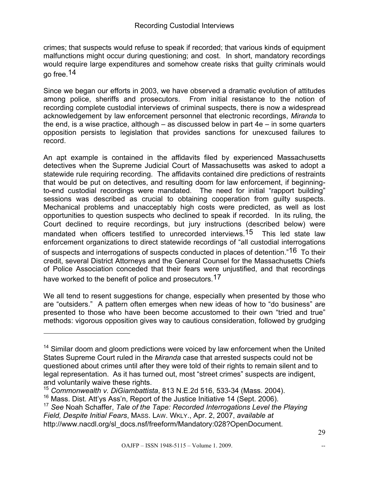crimes; that suspects would refuse to speak if recorded; that various kinds of equipment malfunctions might occur during questioning; and cost. In short, mandatory recordings would require large expenditures and somehow create risks that guilty criminals would go free.14

Since we began our efforts in 2003, we have observed a dramatic evolution of attitudes among police, sheriffs and prosecutors. From initial resistance to the notion of recording complete custodial interviews of criminal suspects, there is now a widespread acknowledgement by law enforcement personnel that electronic recordings, *Miranda* to the end, is a wise practice, although  $-$  as discussed below in part  $4e - in$  some quarters opposition persists to legislation that provides sanctions for unexcused failures to record.

An apt example is contained in the affidavits filed by experienced Massachusetts detectives when the Supreme Judicial Court of Massachusetts was asked to adopt a statewide rule requiring recording. The affidavits contained dire predictions of restraints that would be put on detectives, and resulting doom for law enforcement, if beginningto-end custodial recordings were mandated. The need for initial "rapport building" sessions was described as crucial to obtaining cooperation from guilty suspects. Mechanical problems and unacceptably high costs were predicted, as well as lost opportunities to question suspects who declined to speak if recorded. In its ruling, the Court declined to require recordings, but jury instructions (described below) were mandated when officers testified to unrecorded interviews.<sup>15</sup> This led state law enforcement organizations to direct statewide recordings of "all custodial interrogations of suspects and interrogations of suspects conducted in places of detention."<sup>16</sup> To their credit, several District Attorneys and the General Counsel for the Massachusetts Chiefs of Police Association conceded that their fears were unjustified, and that recordings have worked to the benefit of police and prosecutors.<sup>17</sup>

We all tend to resent suggestions for change, especially when presented by those who are "outsiders." A pattern often emerges when new ideas of how to "do business" are presented to those who have been become accustomed to their own "tried and true" methods: vigorous opposition gives way to cautious consideration, followed by grudging

 $\overline{a}$ 

 $14$  Similar doom and gloom predictions were voiced by law enforcement when the United States Supreme Court ruled in the *Miranda* case that arrested suspects could not be questioned about crimes until after they were told of their rights to remain silent and to legal representation. As it has turned out, most "street crimes" suspects are indigent, and voluntarily waive these rights.<br><sup>15</sup> Commonwealth v. DiGiambattista, 813 N.E.2d 516, 533-34 (Mass. 2004).

<sup>&</sup>lt;sup>16</sup> Mass. Dist. Att'ys Ass'n, Report of the Justice Initiative 14 (Sept. 2006).

<sup>17</sup> *See* Noah Schaffer, *Tale of the Tape: Recorded Interrogations Level the Playing Field, Despite Initial Fears*, MASS. LAW. WKLY., Apr. 2, 2007, *available at* http://www.nacdl.org/sl\_docs.nsf/freeform/Mandatory:028?OpenDocument.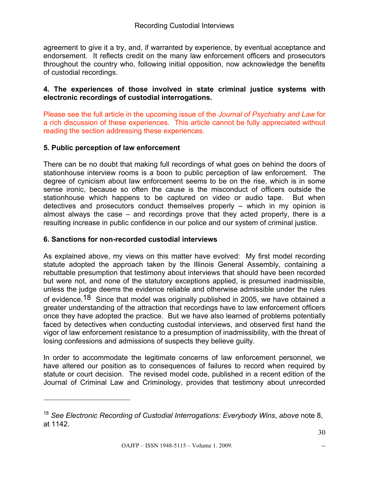agreement to give it a try, and, if warranted by experience, by eventual acceptance and endorsement. It reflects credit on the many law enforcement officers and prosecutors throughout the country who, following initial opposition, now acknowledge the benefits of custodial recordings.

### **4. The experiences of those involved in state criminal justice systems with electronic recordings of custodial interrogations.**

Please see the full article in the upcoming issue of the *Journal of Psychiatry and Law* for a rich discussion of these experiences. This article cannot be fully appreciated without reading the section addressing these experiences.

## **5. Public perception of law enforcement**

 $\overline{a}$ 

There can be no doubt that making full recordings of what goes on behind the doors of stationhouse interview rooms is a boon to public perception of law enforcement. The degree of cynicism about law enforcement seems to be on the rise, which is in some sense ironic, because so often the cause is the misconduct of officers outside the stationhouse which happens to be captured on video or audio tape. But when detectives and prosecutors conduct themselves properly – which in my opinion is almost always the case – and recordings prove that they acted properly, there is a resulting increase in public confidence in our police and our system of criminal justice.

### **6. Sanctions for non-recorded custodial interviews**

As explained above, my views on this matter have evolved: My first model recording statute adopted the approach taken by the Illinois General Assembly, containing a rebuttable presumption that testimony about interviews that should have been recorded but were not, and none of the statutory exceptions applied, is presumed inadmissible, unless the judge deems the evidence reliable and otherwise admissible under the rules of evidence.<sup>18</sup> Since that model was originally published in 2005, we have obtained a greater understanding of the attraction that recordings have to law enforcement officers once they have adopted the practice. But we have also learned of problems potentially faced by detectives when conducting custodial interviews, and observed first hand the vigor of law enforcement resistance to a presumption of inadmissibility, with the threat of losing confessions and admissions of suspects they believe guilty.

In order to accommodate the legitimate concerns of law enforcement personnel, we have altered our position as to consequences of failures to record when required by statute or court decision. The revised model code, published in a recent edition of the Journal of Criminal Law and Criminology, provides that testimony about unrecorded

<sup>18</sup> *See Electronic Recording of Custodial Interrogations: Everybody Wins*, *above* note 8, at 1142.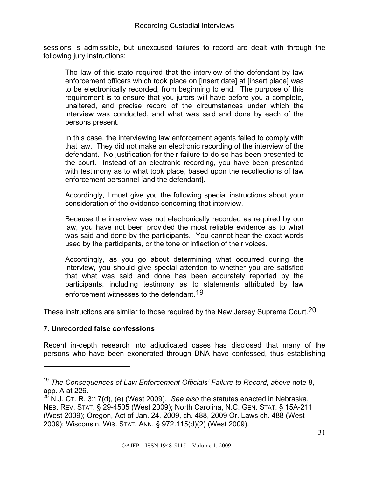sessions is admissible, but unexcused failures to record are dealt with through the following jury instructions:

The law of this state required that the interview of the defendant by law enforcement officers which took place on [insert date] at [insert place] was to be electronically recorded, from beginning to end. The purpose of this requirement is to ensure that you jurors will have before you a complete, unaltered, and precise record of the circumstances under which the interview was conducted, and what was said and done by each of the persons present.

In this case, the interviewing law enforcement agents failed to comply with that law. They did not make an electronic recording of the interview of the defendant. No justification for their failure to do so has been presented to the court. Instead of an electronic recording, you have been presented with testimony as to what took place, based upon the recollections of law enforcement personnel [and the defendant].

Accordingly, I must give you the following special instructions about your consideration of the evidence concerning that interview.

Because the interview was not electronically recorded as required by our law, you have not been provided the most reliable evidence as to what was said and done by the participants. You cannot hear the exact words used by the participants, or the tone or inflection of their voices.

Accordingly, as you go about determining what occurred during the interview, you should give special attention to whether you are satisfied that what was said and done has been accurately reported by the participants, including testimony as to statements attributed by law enforcement witnesses to the defendant.<sup>19</sup>

These instructions are similar to those required by the New Jersey Supreme Court.20

### **7. Unrecorded false confessions**

 $\overline{a}$ 

Recent in-depth research into adjudicated cases has disclosed that many of the persons who have been exonerated through DNA have confessed, thus establishing

<sup>19</sup> *The Consequences of Law Enforcement Officials' Failure to Record*, *above* note 8, app. A at 226.

<sup>20</sup> N.J. CT. R. 3:17(d), (e) (West 2009). *See also* the statutes enacted in Nebraska, NEB. REV. STAT. § 29-4505 (West 2009); North Carolina, N.C. GEN. STAT. § 15A-211 (West 2009); Oregon, Act of Jan. 24, 2009, ch. 488, 2009 Or. Laws ch. 488 (West 2009); Wisconsin, WIS. STAT. ANN. § 972.115(d)(2) (West 2009).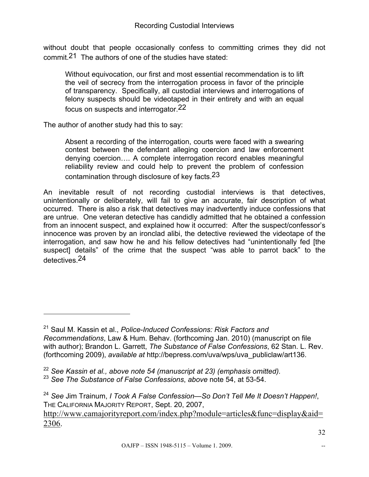without doubt that people occasionally confess to committing crimes they did not commit.21 The authors of one of the studies have stated:

Without equivocation, our first and most essential recommendation is to lift the veil of secrecy from the interrogation process in favor of the principle of transparency. Specifically, all custodial interviews and interrogations of felony suspects should be videotaped in their entirety and with an equal focus on suspects and interrogator.22

The author of another study had this to say:

 $\overline{a}$ 

Absent a recording of the interrogation, courts were faced with a swearing contest between the defendant alleging coercion and law enforcement denying coercion…. A complete interrogation record enables meaningful reliability review and could help to prevent the problem of confession contamination through disclosure of key facts.<sup>23</sup>

An inevitable result of not recording custodial interviews is that detectives, unintentionally or deliberately, will fail to give an accurate, fair description of what occurred. There is also a risk that detectives may inadvertently induce confessions that are untrue. One veteran detective has candidly admitted that he obtained a confession from an innocent suspect, and explained how it occurred: After the suspect/confessor's innocence was proven by an ironclad alibi, the detective reviewed the videotape of the interrogation, and saw how he and his fellow detectives had "unintentionally fed [the suspect] details" of the crime that the suspect "was able to parrot back" to the detectives.24

<sup>22</sup> *See Kassin et al., above note 54 (manuscript at 23) (emphasis omitted).* <sup>23</sup> *See The Substance of False Confessions*, *above* note 54, at 53-54.

http://www.camajorityreport.com/index.php?module=articles&func=display&aid= 2306.

<sup>21</sup> Saul M. Kassin et al., *Police-Induced Confessions: Risk Factors and Recommendations*, Law & Hum. Behav. (forthcoming Jan. 2010) (manuscript on file with author); Brandon L. Garrett, *The Substance of False Confessions*, 62 Stan. L. Rev. (forthcoming 2009), *available at* http://bepress.com/uva/wps/uva\_publiclaw/art136.

<sup>24</sup> *See* Jim Trainum, *I Took A False Confession—So Don't Tell Me It Doesn't Happen!*, THE CALIFORNIA MAJORITY REPORT, Sept. 20, 2007,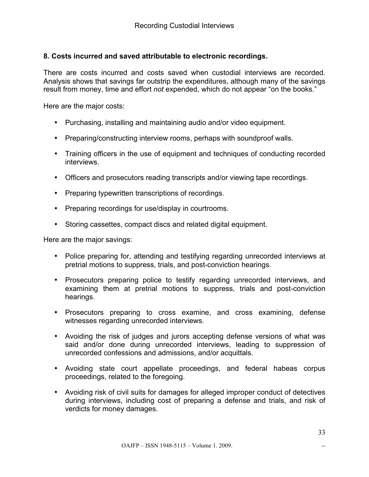## **8. Costs incurred and saved attributable to electronic recordings.**

There are costs incurred and costs saved when custodial interviews are recorded. Analysis shows that savings far outstrip the expenditures, although many of the savings result from money, time and effort *not* expended, which do not appear "on the books."

Here are the major costs:

- Purchasing, installing and maintaining audio and/or video equipment.
- Preparing/constructing interview rooms, perhaps with soundproof walls.
- Training officers in the use of equipment and techniques of conducting recorded interviews.
- Officers and prosecutors reading transcripts and/or viewing tape recordings.
- Preparing typewritten transcriptions of recordings.
- Preparing recordings for use/display in courtrooms.
- Storing cassettes, compact discs and related digital equipment.

Here are the major savings:

- Police preparing for, attending and testifying regarding unrecorded interviews at pretrial motions to suppress, trials, and post-conviction hearings.
- Prosecutors preparing police to testify regarding unrecorded interviews, and examining them at pretrial motions to suppress, trials and post-conviction hearings.
- Prosecutors preparing to cross examine, and cross examining, defense witnesses regarding unrecorded interviews.
- Avoiding the risk of judges and jurors accepting defense versions of what was said and/or done during unrecorded interviews, leading to suppression of unrecorded confessions and admissions, and/or acquittals.
- Avoiding state court appellate proceedings, and federal habeas corpus proceedings, related to the foregoing.
- Avoiding risk of civil suits for damages for alleged improper conduct of detectives during interviews, including cost of preparing a defense and trials, and risk of verdicts for money damages.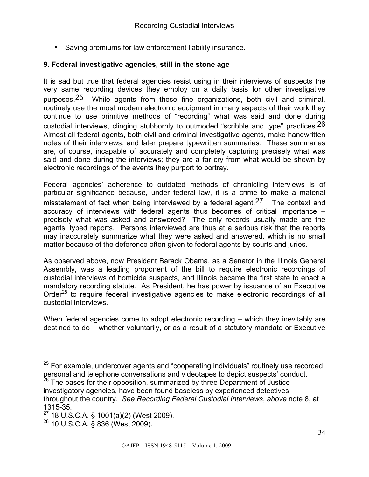• Saving premiums for law enforcement liability insurance.

# **9. Federal investigative agencies, still in the stone age**

It is sad but true that federal agencies resist using in their interviews of suspects the very same recording devices they employ on a daily basis for other investigative purposes.<sup>25</sup> While agents from these fine organizations, both civil and criminal, routinely use the most modern electronic equipment in many aspects of their work they continue to use primitive methods of "recording" what was said and done during custodial interviews, clinging stubbornly to outmoded "scribble and type" practices.26 Almost all federal agents, both civil and criminal investigative agents, make handwritten notes of their interviews, and later prepare typewritten summaries. These summaries are, of course, incapable of accurately and completely capturing precisely what was said and done during the interviews; they are a far cry from what would be shown by electronic recordings of the events they purport to portray.

Federal agencies' adherence to outdated methods of chronicling interviews is of particular significance because, under federal law, it is a crime to make a material misstatement of fact when being interviewed by a federal agent.<sup>27</sup> The context and accuracy of interviews with federal agents thus becomes of critical importance – precisely what was asked and answered? The only records usually made are the agents' typed reports. Persons interviewed are thus at a serious risk that the reports may inaccurately summarize what they were asked and answered, which is no small matter because of the deference often given to federal agents by courts and juries.

As observed above, now President Barack Obama, as a Senator in the Illinois General Assembly, was a leading proponent of the bill to require electronic recordings of custodial interviews of homicide suspects, and Illinois became the first state to enact a mandatory recording statute. As President, he has power by issuance of an Executive Order<sup>28</sup> to require federal investigative agencies to make electronic recordings of all custodial interviews.

When federal agencies come to adopt electronic recording – which they inevitably are destined to do – whether voluntarily, or as a result of a statutory mandate or Executive

<sup>26</sup> The bases for their opposition, summarized by three Department of Justice investigatory agencies, have been found baseless by experienced detectives throughout the country. *See Recording Federal Custodial Interviews*, *above* note 8, at 1315-35.

 $\overline{a}$ 

 $25$  For example, undercover agents and "cooperating individuals" routinely use recorded personal and telephone conversations and videotapes to depict suspects' conduct.

<sup>27 18</sup> U.S.C.A. § 1001(a)(2) (West 2009).

<sup>28 10</sup> U.S.C.A. § 836 (West 2009).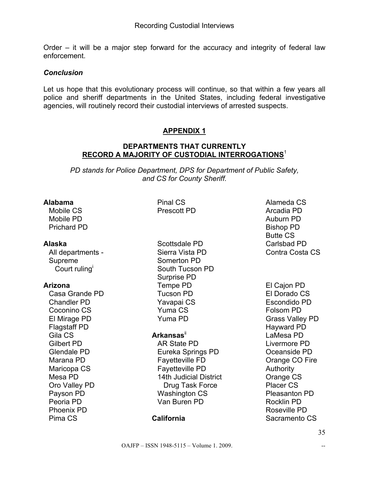Order – it will be a major step forward for the accuracy and integrity of federal law enforcement.

### *Conclusion*

Let us hope that this evolutionary process will continue, so that within a few years all police and sheriff departments in the United States, including federal investigative agencies, will routinely record their custodial interviews of arrested suspects.

# **APPENDIX 1**

### **DEPARTMENTS THAT CURRENTLY RECORD A MAJORITY OF CUSTODIAL INTERROGATIONS**<sup>1</sup>

*PD stands for Police Department, DPS for Department of Public Safety, and CS for County Sheriff.*

> Pinal CS Prescott PD

#### **Alabama**

Mobile CS Mobile PD Prichard PD

#### **Alaska**

All departments - Supreme Court ruling

### **Arizona**

Casa Grande PD Chandler PD Coconino CS El Mirage PD Flagstaff PD Gila CS Gilbert PD Glendale PD Marana PD Maricopa CS Mesa PD Oro Valley PD Payson PD Peoria PD Phoenix PD Pima CS

Scottsdale PD Sierra Vista PD Somerton PD South Tucson PD Surprise PD Tempe PD Tucson PD Yavapai CS Yuma CS Yuma PD

## **Arkansas**ii AR State PD Eureka Springs PD Fayetteville FD Fayetteville PD 14th Judicial District Drug Task Force Washington CS Van Buren PD

### **California**

Alameda CS Arcadia PD Auburn PD Bishop PD Butte CS Carlsbad PD Contra Costa CS

El Cajon PD El Dorado CS Escondido PD Folsom PD Grass Valley PD Hayward PD LaMesa PD Livermore PD Oceanside PD Orange CO Fire Authority Orange CS Placer CS Pleasanton PD Rocklin PD Roseville PD Sacramento CS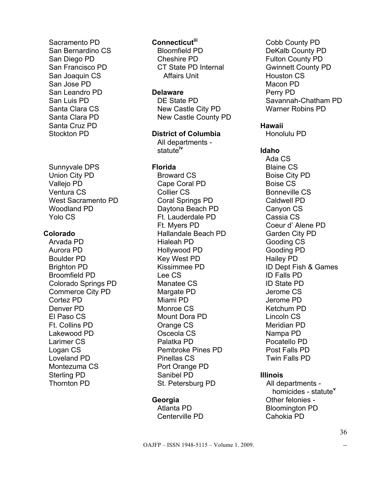- Sacramento PD San Bernardino CS San Diego PD San Francisco PD San Joaquin CS San Jose PD San Leandro PD San Luis PD Santa Clara CS Santa Clara PD Santa Cruz PD Stockton PD
- Sunnyvale DPS Union City PD Vallejo PD Ventura CS West Sacramento PD Woodland PD Yolo CS

### **Colorado**

Arvada PD Aurora PD Boulder PD Brighton PD Broomfield PD Colorado Springs PD Commerce City PD Cortez PD Denver PD El Paso CS Ft. Collins PD Lakewood PD Larimer CS Logan CS Loveland PD Montezuma CS Sterling PD Thornton PD

**Connecticutiii** Bloomfield PD Cheshire PD CT State PD Internal Affairs Unit

#### **Delaware**

DE State PD New Castle City PD New Castle County PD

### **District of Columbia** All departments -

statute**iv**

### **Florida**

Broward CS Cape Coral PD Collier CS Coral Springs PD Daytona Beach PD Ft. Lauderdale PD Ft. Myers PD Hallandale Beach PD Hialeah PD Hollywood PD Key West PD Kissimmee PD Lee CS Manatee CS Margate PD Miami PD Monroe CS Mount Dora PD Orange CS Osceola CS Palatka PD Pembroke Pines PD Pinellas CS Port Orange PD Sanibel PD St. Petersburg PD

### **Georgia**

Atlanta PD Centerville PD Cobb County PD DeKalb County PD Fulton County PD Gwinnett County PD Houston CS Macon PD Perry PD Savannah-Chatham PD Warner Robins PD

### **Hawaii**

Honolulu PD

### **Idaho**

Ada CS Blaine CS Boise City PD Boise CS Bonneville CS Caldwell PD Canyon CS Cassia CS Coeur d' Alene PD Garden City PD Gooding CS Gooding PD Hailey PD ID Dept Fish & Games ID Falls PD ID State PD Jerome CS Jerome PD Ketchum PD Lincoln CS Meridian PD Nampa PD Pocatello PD Post Falls PD Twin Falls PD

### **Illinois**

All departments homicides - statute**<sup>v</sup>** Other felonies - Bloomington PD Cahokia PD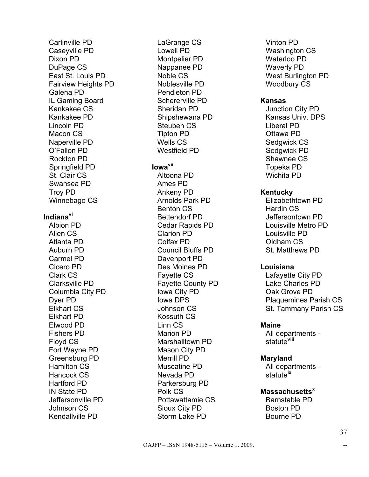Carlinville PD Caseyville PD Dixon PD DuPage CS East St. Louis PD Fairview Heights PD Galena PD IL Gaming Board Kankakee CS Kankakee PD Lincoln PD Macon CS Naperville PD O'Fallon PD Rockton PD Springfield PD St. Clair CS Swansea PD Troy PD Winnebago CS **Indianavi** Albion PD Allen CS Atlanta PD Auburn PD Carmel PD Cicero PD Clark CS Clarksville PD Columbia City PD Dyer PD Elkhart CS Elkhart PD Elwood PD Fishers PD Floyd CS Fort Wayne PD Greensburg PD Hamilton CS Hancock CS Hartford PD IN State PD Jeffersonville PD Johnson CS Kendallville PD

LaGrange CS Lowell PD Montpelier PD Nappanee PD Noble CS Noblesville PD Pendleton PD Schererville PD Sheridan PD Shipshewana PD Steuben CS Tipton PD Wells CS Westfield PD **Iowa**<sup>vii</sup> Altoona PD Ames PD Ankeny PD Arnolds Park PD Benton CS Bettendorf PD Cedar Rapids PD Clarion PD Colfax PD Council Bluffs PD Davenport PD Des Moines PD Fayette CS Fayette County PD Iowa City PD Iowa DPS Johnson CS Kossuth CS Linn CS Marion PD Marshalltown PD Mason City PD Merrill PD Muscatine PD Nevada PD Parkersburg PD Polk CS Pottawattamie CS Sioux City PD Storm Lake PD

Vinton PD Washington CS Waterloo PD Waverly PD West Burlington PD Woodbury CS

#### **Kansas**

Junction City PD Kansas Univ. DPS Liberal PD Ottawa PD Sedgwick CS Sedgwick PD Shawnee CS Topeka PD Wichita PD

### **Kentucky**

Elizabethtown PD Hardin CS Jeffersontown PD Louisville Metro PD Louisville PD Oldham CS St. Matthews PD

#### **Louisiana**

Lafayette City PD Lake Charles PD Oak Grove PD Plaquemines Parish CS St. Tammany Parish CS

### **Maine**

All departments statute**viii**

### **Maryland**

All departments statute**ix**

### **Massachusetts<sup>x</sup>**

Barnstable PD Boston PD Bourne PD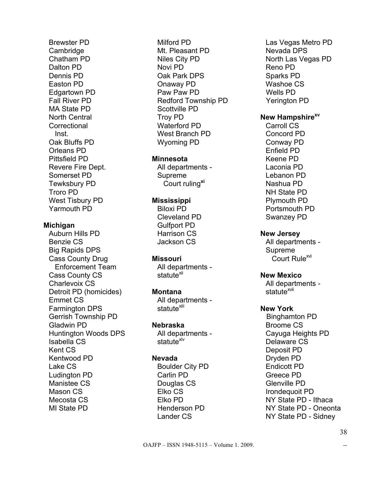Brewster PD Cambridge Chatham PD Dalton PD Dennis PD Easton PD Edgartown PD Fall River PD MA State PD North Central **Correctional**  Inst. Oak Bluffs PD Orleans PD Pittsfield PD Revere Fire Dept. Somerset PD Tewksbury PD Troro PD West Tisbury PD Yarmouth PD

#### **Michigan**

Auburn Hills PD Benzie CS Big Rapids DPS Cass County Drug Enforcement Team Cass County CS Charlevoix CS Detroit PD (homicides) Emmet CS Farmington DPS Gerrish Township PD Gladwin PD Huntington Woods DPS Isabella CS Kent CS Kentwood PD Lake CS Ludington PD Manistee CS Mason CS Mecosta CS MI State PD

Milford PD Mt. Pleasant PD Niles City PD Novi PD Oak Park DPS Onaway PD Paw Paw PD Redford Township PD Scottville PD Troy PD Waterford PD West Branch PD Wyoming PD

#### **Minnesota**

All departments - Supreme Court ruling**xi**

#### **Mississippi**

Biloxi PD Cleveland PD Gulfport PD Harrison CS Jackson CS

#### **Missouri**

All departments statute<sup>xii</sup>

### **Montana**

All departments statute<sup>xiii</sup>

## **Nebraska**

All departments statute<sup>xiv</sup>

### **Nevada**

Boulder City PD Carlin PD Douglas CS Elko CS Elko PD Henderson PD Lander CS

Las Vegas Metro PD Nevada DPS North Las Vegas PD Reno PD Sparks PD Washoe CS Wells PD Yerington PD

### **New Hampshire<sup>xv</sup>**

Carroll CS Concord PD Conway PD Enfield PD Keene PD Laconia PD Lebanon PD Nashua PD NH State PD Plymouth PD Portsmouth PD Swanzey PD

#### **New Jersey**

All departments - Supreme Court Rule<sup>xvi</sup>

#### **New Mexico**

All departments statute<sup>xvii</sup>

#### **New York**

Binghamton PD Broome CS Cayuga Heights PD Delaware CS Deposit PD Dryden PD Endicott PD Greece PD Glenville PD Irondequoit PD NY State PD - Ithaca NY State PD - Oneonta NY State PD - Sidney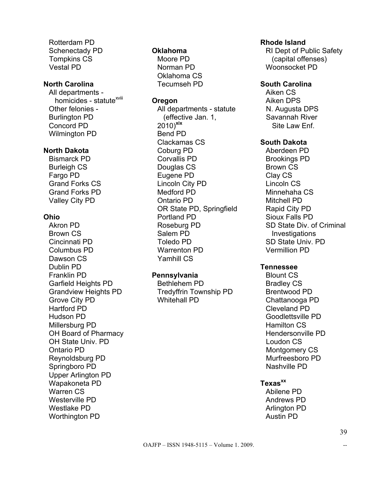Rotterdam PD Schenectady PD Tompkins CS Vestal PD

### **North Carolina**

All departments homicides - statute<sup>xviii</sup> Other felonies - Burlington PD Concord PD Wilmington PD

#### **North Dakota**

Bismarck PD Burleigh CS Fargo PD Grand Forks CS Grand Forks PD Valley City PD

#### **Ohio**

Akron PD Brown CS Cincinnati PD Columbus PD Dawson CS Dublin PD Franklin PD Garfield Heights PD Grandview Heights PD Grove City PD Hartford PD Hudson PD Millersburg PD OH Board of Pharmacy OH State Univ. PD Ontario PD Reynoldsburg PD Springboro PD Upper Arlington PD Wapakoneta PD Warren CS Westerville PD Westlake PD Worthington PD

#### **Oklahoma**

Moore PD Norman PD Oklahoma CS Tecumseh PD

#### **Oregon**

All departments - statute (effective Jan. 1, 2010)**xix** Bend PD Clackamas CS Coburg PD Corvallis PD Douglas CS Eugene PD Lincoln City PD Medford PD Ontario PD OR State PD, Springfield Portland PD Roseburg PD Salem PD Toledo PD Warrenton PD Yamhill CS

### **Pennsylvania**

Bethlehem PD Tredyffrin Township PD Whitehall PD

#### **Rhode Island**

RI Dept of Public Safety (capital offenses) Woonsocket PD

### **South Carolina**

Aiken CS Aiken DPS N. Augusta DPS Savannah River Site Law Enf.

### **South Dakota**

Aberdeen PD Brookings PD Brown CS Clay CS Lincoln CS Minnehaha CS Mitchell PD Rapid City PD Sioux Falls PD SD State Div. of Criminal **Investigations** SD State Univ. PD Vermillion PD

### **Tennessee**

Blount CS Bradley CS Brentwood PD Chattanooga PD Cleveland PD Goodlettsville PD Hamilton CS Hendersonville PD Loudon CS Montgomery CS Murfreesboro PD Nashville PD

#### **Texasxx**

Abilene PD Andrews PD Arlington PD Austin PD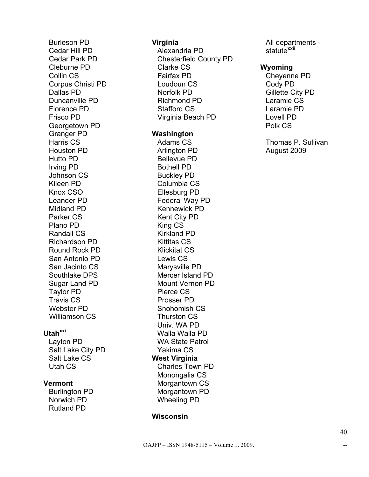Burleson PD Cedar Hill PD Cedar Park PD Cleburne PD Collin CS Corpus Christi PD Dallas PD Duncanville PD Florence PD Frisco PD Georgetown PD Granger PD Harris CS Houston PD Hutto PD Irving PD Johnson CS Kileen PD Knox CSO Leander PD Midland PD Parker CS Plano PD Randall CS Richardson PD Round Rock PD San Antonio PD San Jacinto CS Southlake DPS Sugar Land PD Taylor PD Travis CS Webster PD Williamson CS

# Utah<sup>xxi</sup>

Layton PD Salt Lake City PD Salt Lake CS Utah CS

#### **Vermont**

Burlington PD Norwich PD Rutland PD

**Virginia** Alexandria PD Chesterfield County PD Clarke CS Fairfax PD Loudoun CS Norfolk PD Richmond PD Stafford CS Virginia Beach PD **Washington** Adams CS Arlington PD Bellevue PD Bothell PD Buckley PD Columbia CS Ellesburg PD Federal Way PD Kennewick PD Kent City PD King CS Kirkland PD Kittitas CS Klickitat CS Lewis CS Marysville PD Mercer Island PD Mount Vernon PD Pierce CS Prosser PD Snohomish CS Thurston CS Univ. WA PD Walla Walla PD WA State Patrol Yakima CS **West Virginia** Charles Town PD Monongalia CS Morgantown CS Morgantown PD Wheeling PD

### **Wisconsin**

### **Wyoming**

Cheyenne PD Cody PD Gillette City PD Laramie CS Laramie PD Lovell PD Polk CS

Thomas P. Sullivan August 2009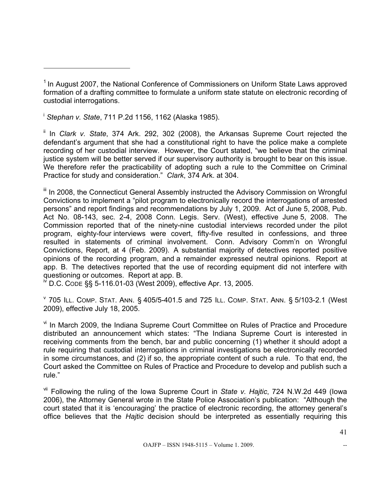i *Stephan v. State*, 711 P.2d 1156, 1162 (Alaska 1985).

 $\overline{a}$ 

ii In *Clark v. State*, 374 Ark. 292, 302 (2008), the Arkansas Supreme Court rejected the defendant's argument that she had a constitutional right to have the police make a complete recording of her custodial interview. However, the Court stated, "we believe that the criminal justice system will be better served if our supervisory authority is brought to bear on this issue. We therefore refer the practicability of adopting such a rule to the Committee on Criminal Practice for study and consideration." *Clark*, 374 Ark. at 304.

III In 2008, the Connecticut General Assembly instructed the Advisory Commission on Wrongful Convictions to implement a "pilot program to electronically record the interrogations of arrested persons" and report findings and recommendations by July 1, 2009. Act of June 5, 2008, Pub. Act No. 08-143, sec. 2-4, 2008 Conn. Legis. Serv. (West), effective June 5, 2008. The Commission reported that of the ninety-nine custodial interviews recorded under the pilot program, eighty-four interviews were covert, fifty-five resulted in confessions, and three resulted in statements of criminal involvement. Conn. Advisory Comm'n on Wrongful Convictions, Report, at 4 (Feb. 2009). A substantial majority of detectives reported positive opinions of the recording program, and a remainder expressed neutral opinions. Report at app. B. The detectives reported that the use of recording equipment did not interfere with questioning or outcomes. Report at app. B.

iv D.C. CODE §§ 5-116.01-03 (West 2009), effective Apr. 13, 2005.

v 705 ILL. COMP. STAT. ANN. § 405/5-401.5 and 725 ILL. COMP. STAT. ANN. § 5/103-2.1 (West 2009), effective July 18, 2005.

v<sup>i</sup> In March 2009, the Indiana Supreme Court Committee on Rules of Practice and Procedure distributed an announcement which states: "The Indiana Supreme Court is interested in receiving comments from the bench, bar and public concerning (1) whether it should adopt a rule requiring that custodial interrogations in criminal investigations be electronically recorded in some circumstances, and (2) if so, the appropriate content of such a rule. To that end, the Court asked the Committee on Rules of Practice and Procedure to develop and publish such a rule."

vii Following the ruling of the Iowa Supreme Court in *State v. Hajtic*, 724 N.W.2d 449 (Iowa 2006), the Attorney General wrote in the State Police Association's publication: "Although the court stated that it is 'encouraging' the practice of electronic recording, the attorney general's office believes that the *Hajtic* decision should be interpreted as essentially requiring this

 $1$  In August 2007, the National Conference of Commissioners on Uniform State Laws approved formation of a drafting committee to formulate a uniform state statute on electronic recording of custodial interrogations.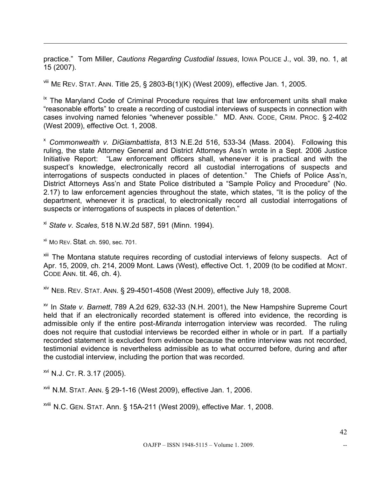practice." Tom Miller, *Cautions Regarding Custodial Issues*, IOWA POLICE J., vol. 39, no. 1, at 15 (2007).

viii ME REV. STAT. ANN. Title 25, § 2803-B(1)(K) (West 2009), effective Jan. 1, 2005.

<sup>ix</sup> The Maryland Code of Criminal Procedure requires that law enforcement units shall make "reasonable efforts" to create a recording of custodial interviews of suspects in connection with cases involving named felonies "whenever possible." MD. ANN. CODE, CRIM. PROC. § 2-402 (West 2009), effective Oct. 1, 2008.

<sup>x</sup> *Commonwealth v. DiGiambattista*, 813 N.E.2d 516, 533-34 (Mass. 2004). Following this ruling, the state Attorney General and District Attorneys Ass'n wrote in a Sept. 2006 Justice Initiative Report: "Law enforcement officers shall, whenever it is practical and with the suspect's knowledge, electronically record all custodial interrogations of suspects and interrogations of suspects conducted in places of detention." The Chiefs of Police Ass'n, District Attorneys Ass'n and State Police distributed a "Sample Policy and Procedure" (No. 2.17) to law enforcement agencies throughout the state, which states, "It is the policy of the department, whenever it is practical, to electronically record all custodial interrogations of suspects or interrogations of suspects in places of detention."

xi *State v. Scales*, 518 N.W.2d 587, 591 (Minn. 1994).

 $xii$  Mo Rev. Stat. ch. 590, sec. 701.

 $\overline{a}$ 

<sup>xiii</sup> The Montana statute requires recording of custodial interviews of felony suspects. Act of Apr. 15, 2009, ch. 214, 2009 Mont. Laws (West), effective Oct. 1, 2009 (to be codified at MONT. CODE ANN. tit. 46, ch. 4).

xiv NEB. REV. STAT. ANN. § 29-4501-4508 (West 2009), effective July 18, 2008.

xv In *State v. Barnett*, 789 A.2d 629, 632-33 (N.H. 2001), the New Hampshire Supreme Court held that if an electronically recorded statement is offered into evidence, the recording is admissible only if the entire post-*Miranda* interrogation interview was recorded. The ruling does not require that custodial interviews be recorded either in whole or in part. If a partially recorded statement is excluded from evidence because the entire interview was not recorded, testimonial evidence is nevertheless admissible as to what occurred before, during and after the custodial interview, including the portion that was recorded.

xvi N.J. CT. R. 3.17 (2005).

xvii N.M. STAT. ANN. § 29-1-16 (West 2009), effective Jan. 1, 2006.

xviii N.C. GEN. STAT. Ann. § 15A-211 (West 2009), effective Mar. 1, 2008.